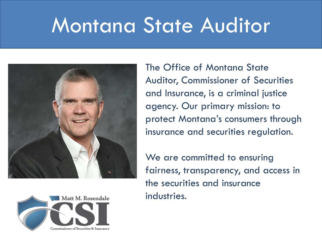# Montana State Auditor





The Office of Montana State Auditor, Commissioner of Securities and Insurance, is a criminal justice agency. Our primary mission: to protect Montana's consumers through insurance and securities regulation.

We are committed to ensuring fairness, transparency, and access in the securities and insurance industries.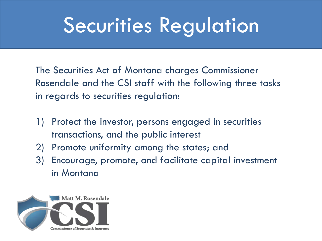# Securities Regulation

The Securities Act of Montana charges Commissioner Rosendale and the CSI staff with the following three tasks in regards to securities regulation:

- 1) Protect the investor, persons engaged in securities transactions, and the public interest
- 2) Promote uniformity among the states; and
- 3) Encourage, promote, and facilitate capital investment in Montana

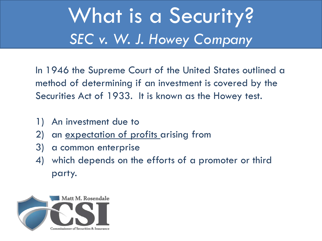## What is a Security? *SEC v. W. J. Howey Company*

In 1946 the Supreme Court of the United States outlined a method of determining if an investment is covered by the Securities Act of 1933. It is known as the Howey test.

- 1) An investment due to
- 2) an <u>expectation of profits</u> arising from
- 3) a common enterprise
- 4) which depends on the efforts of a promoter or third party.

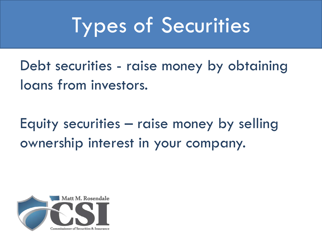# Types of Securities

Debt securities - raise money by obtaining loans from investors.

Equity securities – raise money by selling ownership interest in your company.

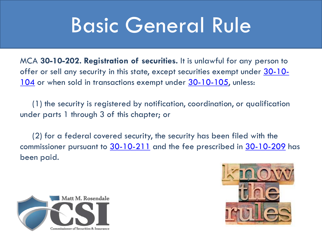## Basic General Rule

MCA **30-10-202. Registration of securities.** It is unlawful for any person to [offer or sell any security in this state, except securities exempt under 30-10-](http://leg.mt.gov/bills/mca/30/10/30-10-104.htm) 104 or when sold in transactions exempt under [30-10-105](http://leg.mt.gov/bills/mca/30/10/30-10-105.htm), unless:

(1) the security is registered by notification, coordination, or qualification under parts 1 through 3 of this chapter; or

(2) for a federal covered security, the security has been filed with the commissioner pursuant to [30-10-211](http://leg.mt.gov/bills/mca/30/10/30-10-211.htm) and the fee prescribed in [30-10-209](http://leg.mt.gov/bills/mca/30/10/30-10-209.htm) has been paid.



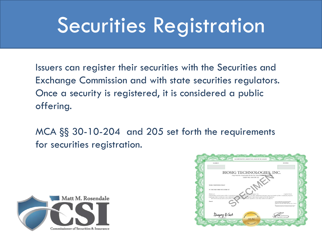## Securities Registration

Issuers can register their securities with the Securities and Exchange Commission and with state securities regulators. Once a security is registered, it is considered a public offering.

MCA §§ 30-10-204 and 205 set forth the requirements for securities registration.



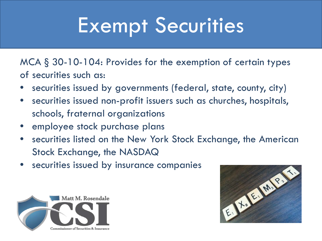# Exempt Securities

MCA § 30-10-104: Provides for the exemption of certain types of securities such as:

- securities issued by governments (federal, state, county, city)
- securities issued non-profit issuers such as churches, hospitals, schools, fraternal organizations
- employee stock purchase plans
- securities listed on the New York Stock Exchange, the American Stock Exchange, the NASDAQ
- securities issued by insurance companies



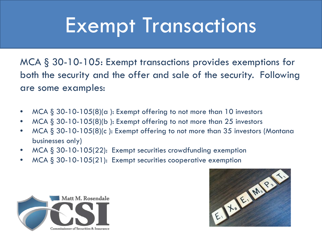## Exempt Transactions

MCA § 30-10-105: Exempt transactions provides exemptions for both the security and the offer and sale of the security. Following are some examples:

- $MCA \& 30-10-105(8)$ (a): Exempt offering to not more than 10 investors
- $MCA \S 30-10-105(8)$ (b): Exempt offering to not more than 25 investors
- MCA § 30-10-105(8)(c ): Exempt offering to not more than 35 investors (Montana businesses only)
- $MCA \S 30-10-105(22)$ : Exempt securities crowdfunding exemption
- 



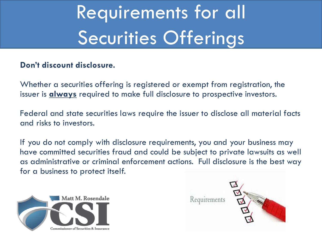# Requirements for all Securities Offerings

#### **Don't discount disclosure.**

Whether a securities offering is registered or exempt from registration, the issuer is **always** required to make full disclosure to prospective investors.

Federal and state securities laws require the issuer to disclose all material facts and risks to investors.

If you do not comply with disclosure requirements, you and your business may have committed securities fraud and could be subject to private lawsuits as well as administrative or criminal enforcement actions. Full disclosure is the best way for a business to protect itself.



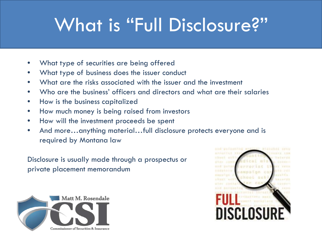## What is "Full Disclosure?"

- What type of securities are being offered
- What type of business does the issuer conduct
- What are the risks associated with the issuer and the investment
- Who are the business' officers and directors and what are their salaries
- How is the business capitalized
- How much money is being raised from investors
- How will the investment proceeds be spent
- And more…anything material…full disclosure protects everyone and is required by Montana law

Disclosure is usually made through a prospectus or private placement memorandum



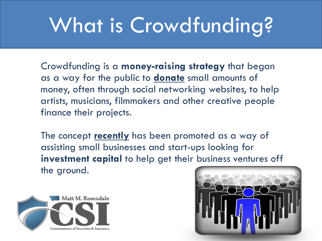# What is Crowdfunding?

Crowdfunding is a **money-raising strategy** that began as a way for the public to **donate** small amounts of money, often through social networking websites, to help artists, musicians, filmmakers and other creative people finance their projects.

The concept **recently** has been promoted as a way of assisting small businesses and start-ups looking for **investment capital** to help get their business ventures off the ground.



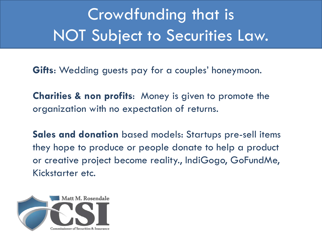### Crowdfunding that is NOT Subject to Securities Law.

**Gifts**: Wedding guests pay for a couples' honeymoon.

**Charities & non profits**: Money is given to promote the organization with no expectation of returns.

**Sales and donation** based models: Startups pre-sell items they hope to produce or people donate to help a product or creative project become reality., IndiGogo, GoFundMe, Kickstarter etc.

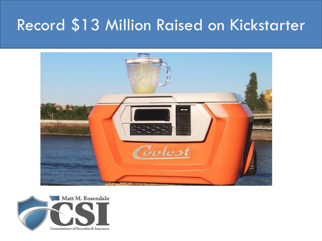#### Record \$13 Million Raised on Kickstarter



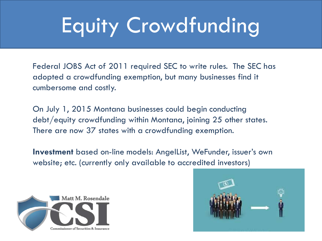# Equity Crowdfunding

Federal JOBS Act of 2011 required SEC to write rules. The SEC has adopted a crowdfunding exemption, but many businesses find it cumbersome and costly.

On July 1, 2015 Montana businesses could begin conducting debt/equity crowdfunding within Montana, joining 25 other states. There are now 37 states with a crowdfunding exemption.

**Investment** based on-line models: AngelList, WeFunder, issuer's own website; etc. (currently only available to accredited investors)



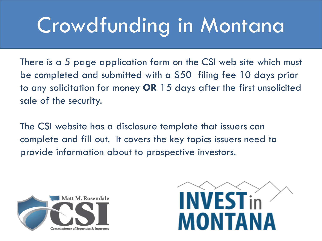# Crowdfunding in Montana

There is a 5 page application form on the CSI web site which must be completed and submitted with a \$50 filing fee 10 days prior to any solicitation for money **OR** 15 days after the first unsolicited sale of the security.

The CSI website has a disclosure template that issuers can complete and fill out. It covers the key topics issuers need to provide information about to prospective investors.



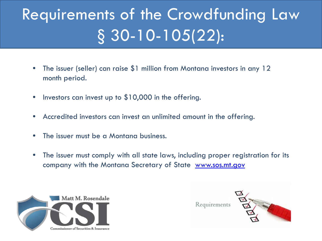## Requirements of the Crowdfunding Law § 30-10-105(22):

- The issuer (seller) can raise \$1 million from Montana investors in any 12 month period.
- Investors can invest up to \$10,000 in the offering.
- Accredited investors can invest an unlimited amount in the offering.
- The issuer must be a Montana business.
- The issuer must comply with all state laws, including proper registration for its company with the Montana Secretary of State [www.sos.mt.gov](http://www.sos.mt.gov/)



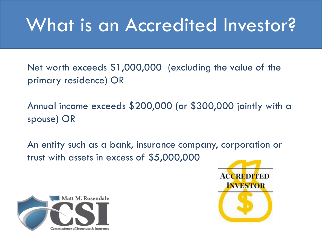## What is an Accredited Investor?

Net worth exceeds \$1,000,000 (excluding the value of the primary residence) OR

Annual income exceeds \$200,000 (or \$300,000 jointly with a spouse) OR

An entity such as a bank, insurance company, corporation or trust with assets in excess of \$5,000,000



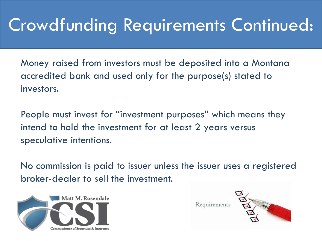### Crowdfunding Requirements Continued:

Money raised from investors must be deposited into a Montana accredited bank and used only for the purpose(s) stated to investors.

People must invest for "investment purposes" which means they intend to hold the investment for at least 2 years versus speculative intentions.

No commission is paid to issuer unless the issuer uses a registered broker-dealer to sell the investment.



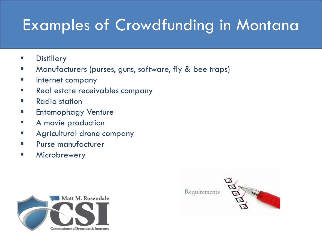#### Examples of Crowdfunding in Montana

- **B** Distillery
- **Manufacturers (purses, guns, software, fly & bee traps)**
- **Internet company**
- **Real estate receivables company**
- $\blacksquare$  Radio station
- **Entomophagy Venture**
- **A** movie production
- **EXEQUE Agricultural drone company**
- **Purse manufacturer**
- **E** Microbrewery



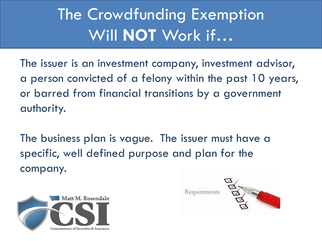### The Crowdfunding Exemption Will **NOT** Work if…

The issuer is an investment company, investment advisor, a person convicted of a felony within the past 10 years, or barred from financial transitions by a government authority.

The business plan is vague. The issuer must have a specific, well defined purpose and plan for the company.



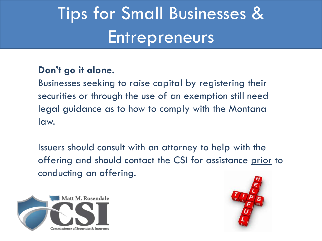## Tips for Small Businesses & **Entrepreneurs**

#### **Don't go it alone.**

Businesses seeking to raise capital by registering their securities or through the use of an exemption still need legal guidance as to how to comply with the Montana law.

Issuers should consult with an attorney to help with the offering and should contact the CSI for assistance prior to conducting an offering.



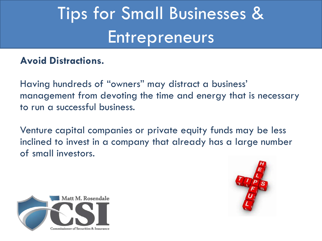## Tips for Small Businesses & **Entrepreneurs**

#### **Avoid Distractions.**

Having hundreds of "owners" may distract a business' management from devoting the time and energy that is necessary to run a successful business.

Venture capital companies or private equity funds may be less inclined to invest in a company that already has a large number of small investors.



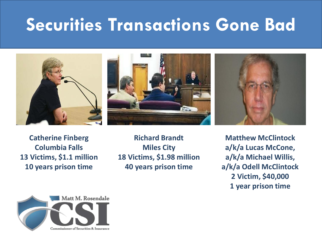### **Securities Transactions Gone Bad**







**Catherine Finberg Columbia Falls 13 Victims, \$1.1 million 10 years prison time**

**Richard Brandt Miles City 18 Victims, \$1.98 million 40 years prison time**

**Matthew McClintock a/k/a Lucas McCone, a/k/a Michael Willis, a/k/a Odell McClintock 2 Victim, \$40,000 1 year prison time**

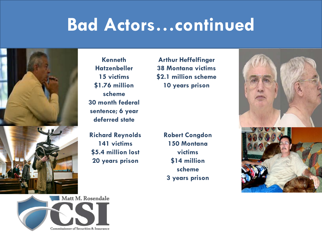### **Bad Actors…continued**



**Kenneth Hatzenbeller 15 victims \$1.76 million scheme 30 month federal sentence; 6 year deferred state**

**Richard Reynolds 141 victims \$5.4 million lost 20 years prison**

**Robert Congdon 150 Montana victims \$14 million scheme 3 years prison**

**Arthur Heffelfinger 38 Montana victims \$2.1 million scheme**

**10 years prison**



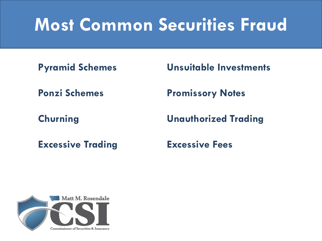## **Most Common Securities Fraud**

**Excessive Trading Excessive Fees**

**Pyramid Schemes Unsuitable Investments**

**Ponzi Schemes Promissory Notes**

**Churning Unauthorized Trading**